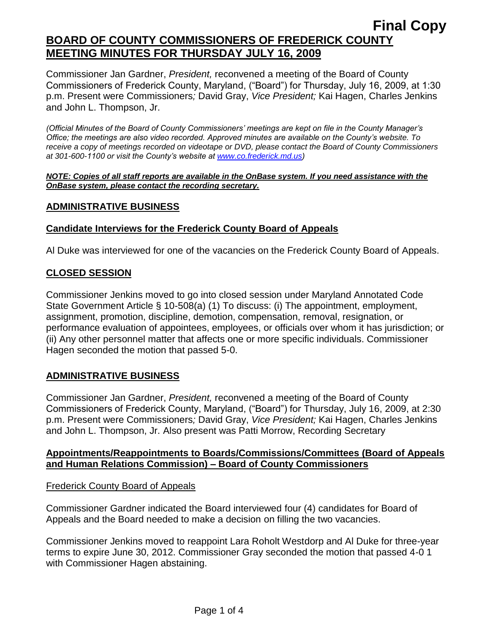Commissioner Jan Gardner, *President,* reconvened a meeting of the Board of County Commissioners of Frederick County, Maryland, ("Board") for Thursday, July 16, 2009, at 1:30 p.m. Present were Commissioners*;* David Gray, *Vice President;* Kai Hagen, Charles Jenkins and John L. Thompson, Jr.

*(Official Minutes of the Board of County Commissioners' meetings are kept on file in the County Manager's Office; the meetings are also video recorded. Approved minutes are available on the County's website. To receive a copy of meetings recorded on videotape or DVD, please contact the Board of County Commissioners at 301-600-1100 or visit the County's website at [www.co.frederick.md.us\)](http://www.co.frederick.md.us/)*

*NOTE: Copies of all staff reports are available in the OnBase system. If you need assistance with the OnBase system, please contact the recording secretary.*

### **ADMINISTRATIVE BUSINESS**

### **Candidate Interviews for the Frederick County Board of Appeals**

Al Duke was interviewed for one of the vacancies on the Frederick County Board of Appeals.

### **CLOSED SESSION**

Commissioner Jenkins moved to go into closed session under Maryland Annotated Code State Government Article § 10-508(a) (1) To discuss: (i) The appointment, employment, assignment, promotion, discipline, demotion, compensation, removal, resignation, or performance evaluation of appointees, employees, or officials over whom it has jurisdiction; or (ii) Any other personnel matter that affects one or more specific individuals. Commissioner Hagen seconded the motion that passed 5-0.

## **ADMINISTRATIVE BUSINESS**

Commissioner Jan Gardner, *President,* reconvened a meeting of the Board of County Commissioners of Frederick County, Maryland, ("Board") for Thursday, July 16, 2009, at 2:30 p.m. Present were Commissioners*;* David Gray, *Vice President;* Kai Hagen, Charles Jenkins and John L. Thompson, Jr. Also present was Patti Morrow, Recording Secretary

### **Appointments/Reappointments to Boards/Commissions/Committees (Board of Appeals and Human Relations Commission) – Board of County Commissioners**

Frederick County Board of Appeals

Commissioner Gardner indicated the Board interviewed four (4) candidates for Board of Appeals and the Board needed to make a decision on filling the two vacancies.

Commissioner Jenkins moved to reappoint Lara Roholt Westdorp and Al Duke for three-year terms to expire June 30, 2012. Commissioner Gray seconded the motion that passed 4-0 1 with Commissioner Hagen abstaining.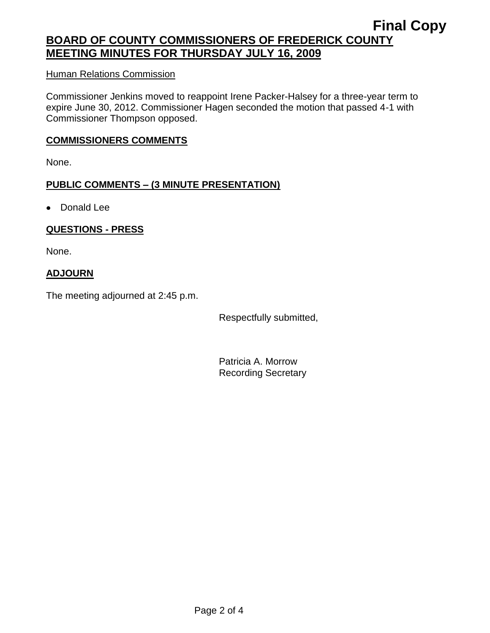# **Final Copy BOARD OF COUNTY COMMISSIONERS OF FREDERICK COUNTY MEETING MINUTES FOR THURSDAY JULY 16, 2009**

#### Human Relations Commission

Commissioner Jenkins moved to reappoint Irene Packer-Halsey for a three-year term to expire June 30, 2012. Commissioner Hagen seconded the motion that passed 4-1 with Commissioner Thompson opposed.

#### **COMMISSIONERS COMMENTS**

None.

### **PUBLIC COMMENTS – (3 MINUTE PRESENTATION)**

• Donald Lee

### **QUESTIONS - PRESS**

None.

### **ADJOURN**

The meeting adjourned at 2:45 p.m.

Respectfully submitted,

Patricia A. Morrow Recording Secretary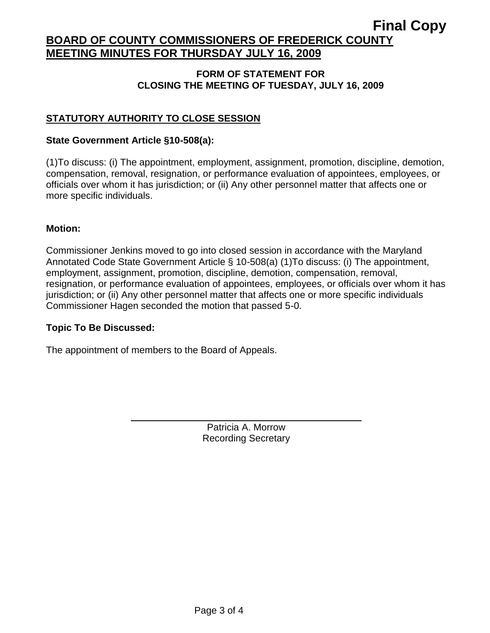# **Final Copy BOARD OF COUNTY COMMISSIONERS OF FREDERICK COUNTY MEETING MINUTES FOR THURSDAY JULY 16, 2009**

### **FORM OF STATEMENT FOR CLOSING THE MEETING OF TUESDAY, JULY 16, 2009**

# **STATUTORY AUTHORITY TO CLOSE SESSION**

### **State Government Article §10-508(a):**

(1)To discuss: (i) The appointment, employment, assignment, promotion, discipline, demotion, compensation, removal, resignation, or performance evaluation of appointees, employees, or officials over whom it has jurisdiction; or (ii) Any other personnel matter that affects one or more specific individuals.

#### **Motion:**

Commissioner Jenkins moved to go into closed session in accordance with the Maryland Annotated Code State Government Article § 10-508(a) (1)To discuss: (i) The appointment, employment, assignment, promotion, discipline, demotion, compensation, removal, resignation, or performance evaluation of appointees, employees, or officials over whom it has jurisdiction; or (ii) Any other personnel matter that affects one or more specific individuals Commissioner Hagen seconded the motion that passed 5-0.

### **Topic To Be Discussed:**

The appointment of members to the Board of Appeals.

Patricia A. Morrow Recording Secretary